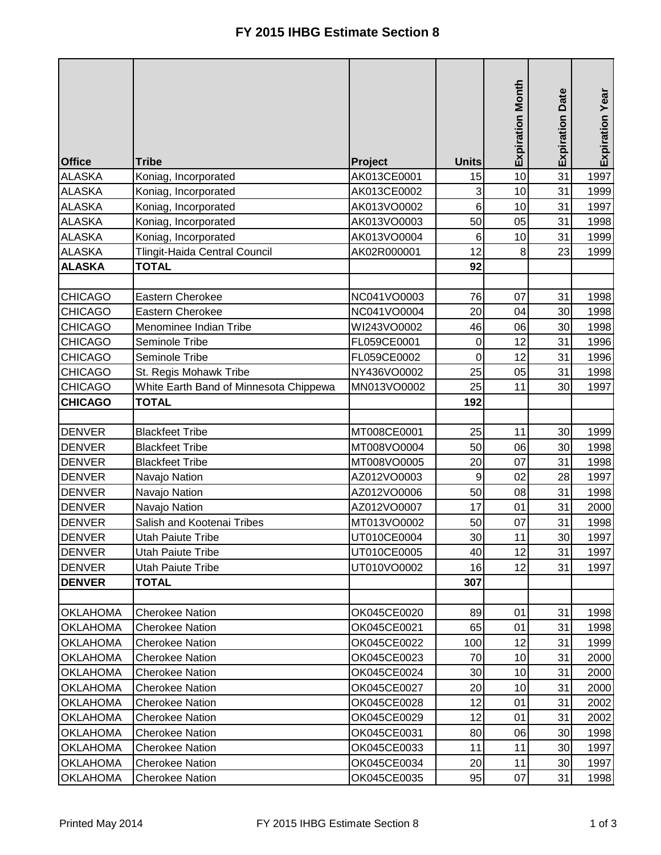|                                |                                              |                            |                  | <b>Expiration Month</b> | <b>Expiration Date</b> | Expiration Year |
|--------------------------------|----------------------------------------------|----------------------------|------------------|-------------------------|------------------------|-----------------|
|                                |                                              |                            |                  |                         |                        |                 |
| <b>Office</b>                  | <b>Tribe</b>                                 | Project                    | <b>Units</b>     |                         | 31                     |                 |
| <b>ALASKA</b>                  | Koniag, Incorporated                         | AK013CE0001                | 15               | 10<br>10                | 31                     | 1997            |
| <b>ALASKA</b><br><b>ALASKA</b> | Koniag, Incorporated<br>Koniag, Incorporated | AK013CE0002<br>AK013VO0002 | 3<br>6           | 10                      | 31                     | 1999<br>1997    |
| <b>ALASKA</b>                  |                                              | AK013VO0003                | 50               | 05                      | 31                     | 1998            |
| <b>ALASKA</b>                  | Koniag, Incorporated<br>Koniag, Incorporated | AK013VO0004                | $\,6$            | 10                      | 31                     | 1999            |
| <b>ALASKA</b>                  | Tlingit-Haida Central Council                | AK02R000001                | 12               | 8                       | 23                     | 1999            |
| <b>ALASKA</b>                  | <b>TOTAL</b>                                 |                            | 92               |                         |                        |                 |
|                                |                                              |                            |                  |                         |                        |                 |
| <b>CHICAGO</b>                 | Eastern Cherokee                             | NC041VO0003                | 76               | 07                      | 31                     | 1998            |
| <b>CHICAGO</b>                 | Eastern Cherokee                             | NC041VO0004                | 20               | 04                      | 30                     | 1998            |
| <b>CHICAGO</b>                 | Menominee Indian Tribe                       | WI243VO0002                | 46               | 06                      | 30                     | 1998            |
| <b>CHICAGO</b>                 | Seminole Tribe                               | FL059CE0001                | $\boldsymbol{0}$ | 12                      | 31                     | 1996            |
| <b>CHICAGO</b>                 | Seminole Tribe                               | FL059CE0002                | 0                | 12                      | 31                     | 1996            |
| <b>CHICAGO</b>                 | St. Regis Mohawk Tribe                       | NY436VO0002                | 25               | 05                      | 31                     | 1998            |
| <b>CHICAGO</b>                 | White Earth Band of Minnesota Chippewa       | MN013VO0002                | 25               | 11                      | 30                     | 1997            |
| <b>CHICAGO</b>                 | <b>TOTAL</b>                                 |                            | 192              |                         |                        |                 |
|                                |                                              |                            |                  |                         |                        |                 |
| <b>DENVER</b>                  | <b>Blackfeet Tribe</b>                       | MT008CE0001                | 25               | 11                      | 30                     | 1999            |
| <b>DENVER</b>                  | <b>Blackfeet Tribe</b>                       | MT008VO0004                | 50               | 06                      | 30                     | 1998            |
| <b>DENVER</b>                  | <b>Blackfeet Tribe</b>                       | MT008VO0005                | 20               | 07                      | 31                     | 1998            |
| <b>DENVER</b>                  | Navajo Nation                                | AZ012VO0003                | 9                | 02                      | 28                     | 1997            |
| <b>DENVER</b>                  | Navajo Nation                                | AZ012VO0006                | 50               | 08                      | 31                     | 1998            |
| <b>DENVER</b>                  | Navajo Nation                                | AZ012VO0007                | 17               | 01                      | 31                     | 2000            |
| <b>DENVER</b>                  | Salish and Kootenai Tribes                   | MT013VO0002                | 50               | 07                      | 31                     | 1998            |
| <b>DENVER</b>                  | <b>Utah Paiute Tribe</b>                     | UT010CE0004                | 30               | 11                      | 30                     | 1997            |
| <b>DENVER</b>                  | Utah Paiute Tribe                            | UT010CE0005                | 40               | 12                      | 31                     | 1997            |
| <b>DENVER</b>                  | Utah Paiute Tribe                            | UT010VO0002                | 16               | 12                      | 31                     | 1997            |
| <b>DENVER</b>                  | <b>TOTAL</b>                                 |                            | 307              |                         |                        |                 |
|                                |                                              |                            |                  |                         |                        |                 |
| <b>OKLAHOMA</b>                | <b>Cherokee Nation</b>                       | OK045CE0020                | 89               | 01                      | 31                     | 1998            |
| <b>OKLAHOMA</b>                | <b>Cherokee Nation</b>                       | OK045CE0021                | 65               | 01                      | 31                     | 1998            |
| <b>OKLAHOMA</b>                | <b>Cherokee Nation</b>                       | OK045CE0022                | 100              | 12                      | 31                     | 1999            |
| <b>OKLAHOMA</b>                | <b>Cherokee Nation</b>                       | OK045CE0023                | 70               | 10                      | 31                     | 2000            |
| <b>OKLAHOMA</b>                | <b>Cherokee Nation</b>                       | OK045CE0024                | 30               | 10                      | 31                     | 2000            |
| <b>OKLAHOMA</b>                | <b>Cherokee Nation</b>                       | OK045CE0027                | 20               | 10                      | 31                     | 2000            |
| <b>OKLAHOMA</b>                | <b>Cherokee Nation</b>                       | OK045CE0028                | 12               | 01                      | 31                     | 2002            |
| <b>OKLAHOMA</b>                | <b>Cherokee Nation</b>                       | OK045CE0029                | 12               | 01                      | 31                     | 2002            |
| <b>OKLAHOMA</b>                | <b>Cherokee Nation</b>                       | OK045CE0031                | 80               | 06                      | 30                     | 1998            |
| <b>OKLAHOMA</b>                | <b>Cherokee Nation</b>                       | OK045CE0033                | 11               | 11                      | 30                     | 1997            |
| <b>OKLAHOMA</b>                | <b>Cherokee Nation</b>                       | OK045CE0034                | 20               | 11                      | 30                     | 1997            |
| <b>OKLAHOMA</b>                | <b>Cherokee Nation</b>                       | OK045CE0035                | 95               | 07                      | 31                     | 1998            |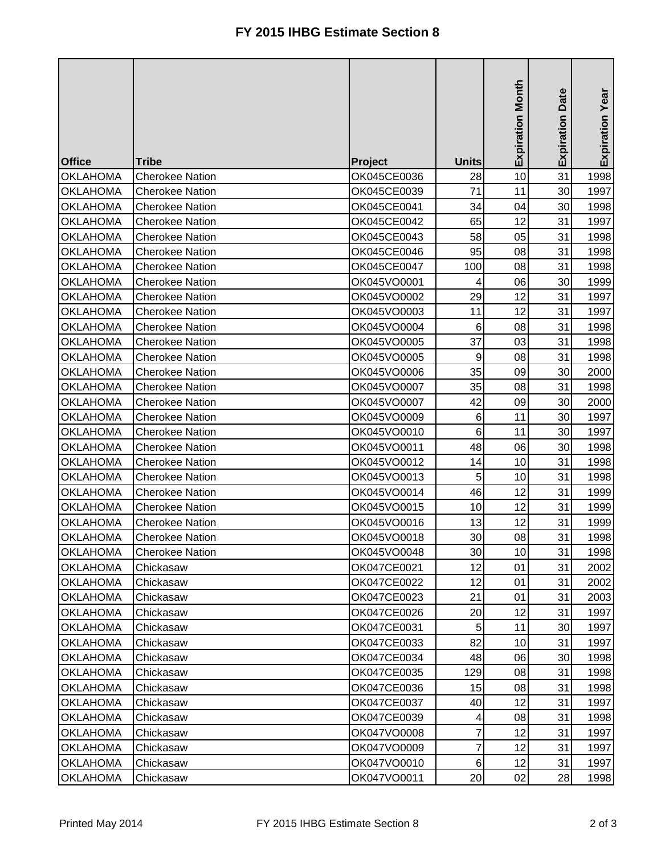|                 |                        |             |                | <b>Expiration Month</b> | <b>Expiration Date</b> | Expiration Year |
|-----------------|------------------------|-------------|----------------|-------------------------|------------------------|-----------------|
|                 |                        |             |                |                         |                        |                 |
| <b>Office</b>   | <b>Tribe</b>           | Project     | <b>Units</b>   |                         |                        |                 |
| <b>OKLAHOMA</b> | <b>Cherokee Nation</b> | OK045CE0036 | 28             | 10                      | 31                     | 1998            |
| <b>OKLAHOMA</b> | <b>Cherokee Nation</b> | OK045CE0039 | 71             | 11                      | 30                     | 1997            |
| <b>OKLAHOMA</b> | <b>Cherokee Nation</b> | OK045CE0041 | 34             | 04                      | 30                     | 1998            |
| <b>OKLAHOMA</b> | <b>Cherokee Nation</b> | OK045CE0042 | 65             | 12                      | 31                     | 1997            |
| <b>OKLAHOMA</b> | <b>Cherokee Nation</b> | OK045CE0043 | 58             | 05                      | 31                     | 1998            |
| <b>OKLAHOMA</b> | <b>Cherokee Nation</b> | OK045CE0046 | 95             | 08                      | 31                     | 1998            |
| <b>OKLAHOMA</b> | <b>Cherokee Nation</b> | OK045CE0047 | 100            | 08                      | 31                     | 1998            |
| <b>OKLAHOMA</b> | <b>Cherokee Nation</b> | OK045VO0001 | 4              | 06                      | 30                     | 1999            |
| <b>OKLAHOMA</b> | <b>Cherokee Nation</b> | OK045VO0002 | 29             | 12                      | 31                     | 1997            |
| <b>OKLAHOMA</b> | <b>Cherokee Nation</b> | OK045VO0003 | 11             | 12                      | 31                     | 1997            |
| <b>OKLAHOMA</b> | <b>Cherokee Nation</b> | OK045VO0004 | 6              | 08                      | 31                     | 1998            |
| <b>OKLAHOMA</b> | <b>Cherokee Nation</b> | OK045VO0005 | 37             | 03                      | 31                     | 1998            |
| <b>OKLAHOMA</b> | <b>Cherokee Nation</b> | OK045VO0005 | 9              | 08                      | 31                     | 1998            |
| <b>OKLAHOMA</b> | <b>Cherokee Nation</b> | OK045VO0006 | 35             | 09                      | 30                     | 2000            |
| <b>OKLAHOMA</b> | <b>Cherokee Nation</b> | OK045VO0007 | 35             | 08                      | 31                     | 1998            |
| <b>OKLAHOMA</b> | <b>Cherokee Nation</b> | OK045VO0007 | 42             | 09                      | 30                     | 2000            |
| <b>OKLAHOMA</b> | <b>Cherokee Nation</b> | OK045VO0009 | 6              | 11                      | 30                     | 1997            |
| <b>OKLAHOMA</b> | <b>Cherokee Nation</b> | OK045VO0010 | 6              | 11                      | 30                     | 1997            |
| <b>OKLAHOMA</b> | <b>Cherokee Nation</b> | OK045VO0011 | 48             | 06                      | 30                     | 1998            |
| <b>OKLAHOMA</b> | <b>Cherokee Nation</b> | OK045VO0012 | 14             | 10                      | 31                     | 1998            |
| <b>OKLAHOMA</b> | <b>Cherokee Nation</b> | OK045VO0013 | 5              | 10                      | 31                     | 1998            |
| <b>OKLAHOMA</b> | <b>Cherokee Nation</b> | OK045VO0014 | 46             | 12                      | 31                     | 1999            |
| <b>OKLAHOMA</b> | <b>Cherokee Nation</b> | OK045VO0015 | 10             | 12                      | 31                     | 1999            |
| <b>OKLAHOMA</b> | <b>Cherokee Nation</b> | OK045VO0016 | 13             | 12                      | 31                     | 1999            |
| <b>OKLAHOMA</b> | <b>Cherokee Nation</b> | OK045VO0018 | 30             | 08                      | 31                     | 1998            |
| <b>OKLAHOMA</b> | <b>Cherokee Nation</b> | OK045VO0048 | 30             | 10                      | 31                     | 1998            |
| <b>OKLAHOMA</b> | Chickasaw              | OK047CE0021 | 12             | 01                      | 31                     | 2002            |
| <b>OKLAHOMA</b> | Chickasaw              | OK047CE0022 | 12             | 01                      | 31                     | 2002            |
| <b>OKLAHOMA</b> | Chickasaw              | OK047CE0023 | 21             | 01                      | 31                     | 2003            |
| <b>OKLAHOMA</b> | Chickasaw              | OK047CE0026 | 20             | 12                      | 31                     | 1997            |
| <b>OKLAHOMA</b> | Chickasaw              | OK047CE0031 | 5              | 11                      | 30                     | 1997            |
| <b>OKLAHOMA</b> | Chickasaw              | OK047CE0033 | 82             | 10                      | 31                     | 1997            |
| <b>OKLAHOMA</b> | Chickasaw              | OK047CE0034 | 48             | 06                      | 30                     | 1998            |
| <b>OKLAHOMA</b> | Chickasaw              | OK047CE0035 | 129            | 08                      | 31                     | 1998            |
| <b>OKLAHOMA</b> | Chickasaw              | OK047CE0036 | 15             | 08                      | 31                     | 1998            |
| <b>OKLAHOMA</b> | Chickasaw              | OK047CE0037 | 40             | 12                      | 31                     | 1997            |
| <b>OKLAHOMA</b> | Chickasaw              | OK047CE0039 | 4              | 08                      | 31                     | 1998            |
| <b>OKLAHOMA</b> | Chickasaw              | OK047VO0008 | $\overline{7}$ | 12                      | 31                     | 1997            |
| <b>OKLAHOMA</b> | Chickasaw              | OK047VO0009 | 7              | 12                      | 31                     | 1997            |
| <b>OKLAHOMA</b> | Chickasaw              | OK047VO0010 | 6              | 12                      | 31                     | 1997            |
| <b>OKLAHOMA</b> | Chickasaw              | OK047VO0011 | 20             | 02                      | 28                     | 1998            |